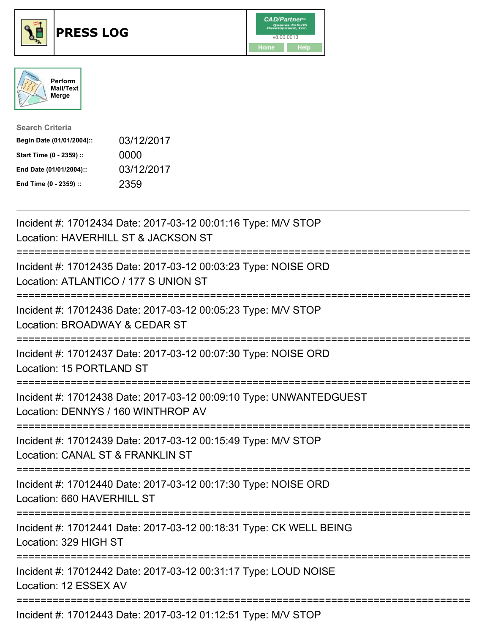





| <b>Search Criteria</b>    |            |
|---------------------------|------------|
| Begin Date (01/01/2004):: | 03/12/2017 |
| Start Time (0 - 2359) ::  | 0000       |
| End Date (01/01/2004)::   | 03/12/2017 |
| End Time (0 - 2359) ::    | 2359       |

| Incident #: 17012434 Date: 2017-03-12 00:01:16 Type: M/V STOP<br>Location: HAVERHILL ST & JACKSON ST                                                                  |
|-----------------------------------------------------------------------------------------------------------------------------------------------------------------------|
| Incident #: 17012435 Date: 2017-03-12 00:03:23 Type: NOISE ORD<br>Location: ATLANTICO / 177 S UNION ST                                                                |
| Incident #: 17012436 Date: 2017-03-12 00:05:23 Type: M/V STOP<br>Location: BROADWAY & CEDAR ST<br>==========================<br>:==================================== |
| Incident #: 17012437 Date: 2017-03-12 00:07:30 Type: NOISE ORD<br>Location: 15 PORTLAND ST                                                                            |
| Incident #: 17012438 Date: 2017-03-12 00:09:10 Type: UNWANTEDGUEST<br>Location: DENNYS / 160 WINTHROP AV<br>---------------------                                     |
| Incident #: 17012439 Date: 2017-03-12 00:15:49 Type: M/V STOP<br>Location: CANAL ST & FRANKLIN ST                                                                     |
| Incident #: 17012440 Date: 2017-03-12 00:17:30 Type: NOISE ORD<br>Location: 660 HAVERHILL ST                                                                          |
| Incident #: 17012441 Date: 2017-03-12 00:18:31 Type: CK WELL BEING<br>Location: 329 HIGH ST                                                                           |
| Incident #: 17012442 Date: 2017-03-12 00:31:17 Type: LOUD NOISE<br>Location: 12 ESSEX AV                                                                              |
|                                                                                                                                                                       |

Incident #: 17012443 Date: 2017-03-12 01:12:51 Type: M/V STOP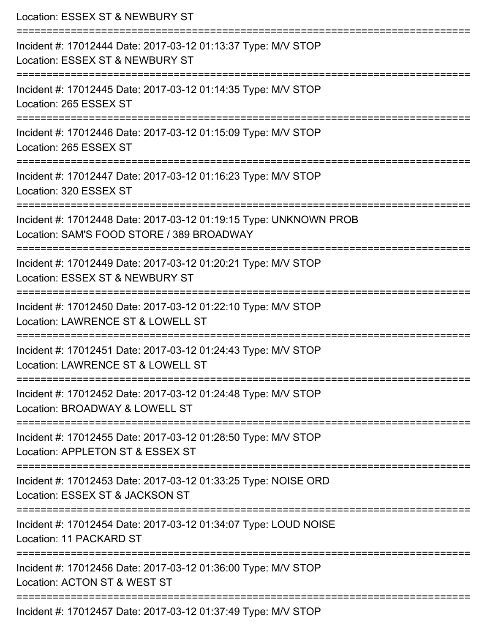| Location: ESSEX ST & NEWBURY ST                                                                                                             |
|---------------------------------------------------------------------------------------------------------------------------------------------|
| Incident #: 17012444 Date: 2017-03-12 01:13:37 Type: M/V STOP<br>Location: ESSEX ST & NEWBURY ST                                            |
| :============================<br>Incident #: 17012445 Date: 2017-03-12 01:14:35 Type: M/V STOP<br>Location: 265 ESSEX ST                    |
| Incident #: 17012446 Date: 2017-03-12 01:15:09 Type: M/V STOP<br>Location: 265 ESSEX ST                                                     |
| :===========================<br>Incident #: 17012447 Date: 2017-03-12 01:16:23 Type: M/V STOP<br>Location: 320 ESSEX ST                     |
| Incident #: 17012448 Date: 2017-03-12 01:19:15 Type: UNKNOWN PROB<br>Location: SAM'S FOOD STORE / 389 BROADWAY<br>========================= |
| Incident #: 17012449 Date: 2017-03-12 01:20:21 Type: M/V STOP<br>Location: ESSEX ST & NEWBURY ST                                            |
| Incident #: 17012450 Date: 2017-03-12 01:22:10 Type: M/V STOP<br>Location: LAWRENCE ST & LOWELL ST                                          |
| ===============<br>Incident #: 17012451 Date: 2017-03-12 01:24:43 Type: M/V STOP<br>Location: LAWRENCE ST & LOWELL ST                       |
| ================================<br>Incident #: 17012452 Date: 2017-03-12 01:24:48 Type: M/V STOP<br>Location: BROADWAY & LOWELL ST         |
| :==================<br>Incident #: 17012455 Date: 2017-03-12 01:28:50 Type: M/V STOP<br>Location: APPLETON ST & ESSEX ST                    |
| Incident #: 17012453 Date: 2017-03-12 01:33:25 Type: NOISE ORD<br>Location: ESSEX ST & JACKSON ST                                           |
| Incident #: 17012454 Date: 2017-03-12 01:34:07 Type: LOUD NOISE<br>Location: 11 PACKARD ST                                                  |
| Incident #: 17012456 Date: 2017-03-12 01:36:00 Type: M/V STOP<br>Location: ACTON ST & WEST ST                                               |
| Incident #: 17012457 Date: 2017-03-12 01:37:49 Type: M/V STOP                                                                               |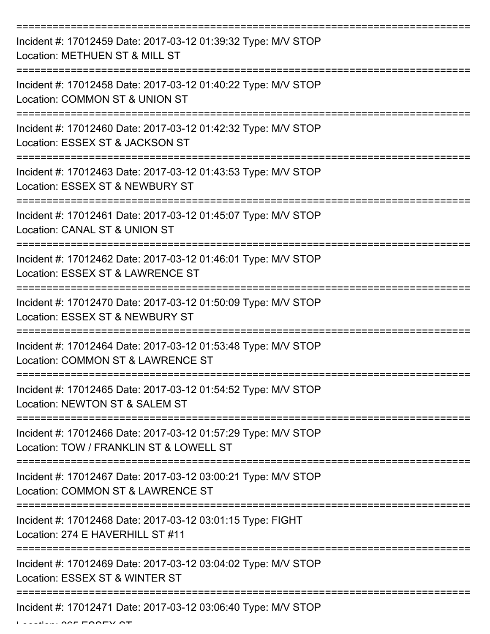| Incident #: 17012459 Date: 2017-03-12 01:39:32 Type: M/V STOP<br>Location: METHUEN ST & MILL ST          |
|----------------------------------------------------------------------------------------------------------|
| Incident #: 17012458 Date: 2017-03-12 01:40:22 Type: M/V STOP<br>Location: COMMON ST & UNION ST          |
| Incident #: 17012460 Date: 2017-03-12 01:42:32 Type: M/V STOP<br>Location: ESSEX ST & JACKSON ST         |
| Incident #: 17012463 Date: 2017-03-12 01:43:53 Type: M/V STOP<br>Location: ESSEX ST & NEWBURY ST         |
| Incident #: 17012461 Date: 2017-03-12 01:45:07 Type: M/V STOP<br>Location: CANAL ST & UNION ST           |
| Incident #: 17012462 Date: 2017-03-12 01:46:01 Type: M/V STOP<br>Location: ESSEX ST & LAWRENCE ST        |
| Incident #: 17012470 Date: 2017-03-12 01:50:09 Type: M/V STOP<br>Location: ESSEX ST & NEWBURY ST         |
| Incident #: 17012464 Date: 2017-03-12 01:53:48 Type: M/V STOP<br>Location: COMMON ST & LAWRENCE ST       |
| Incident #: 17012465 Date: 2017-03-12 01:54:52 Type: M/V STOP<br>Location: NEWTON ST & SALEM ST          |
| Incident #: 17012466 Date: 2017-03-12 01:57:29 Type: M/V STOP<br>Location: TOW / FRANKLIN ST & LOWELL ST |
| Incident #: 17012467 Date: 2017-03-12 03:00:21 Type: M/V STOP<br>Location: COMMON ST & LAWRENCE ST       |
| Incident #: 17012468 Date: 2017-03-12 03:01:15 Type: FIGHT<br>Location: 274 E HAVERHILL ST #11           |
| Incident #: 17012469 Date: 2017-03-12 03:04:02 Type: M/V STOP<br>Location: ESSEX ST & WINTER ST          |
| Incident #: 17012471 Date: 2017-03-12 03:06:40 Type: M/V STOP                                            |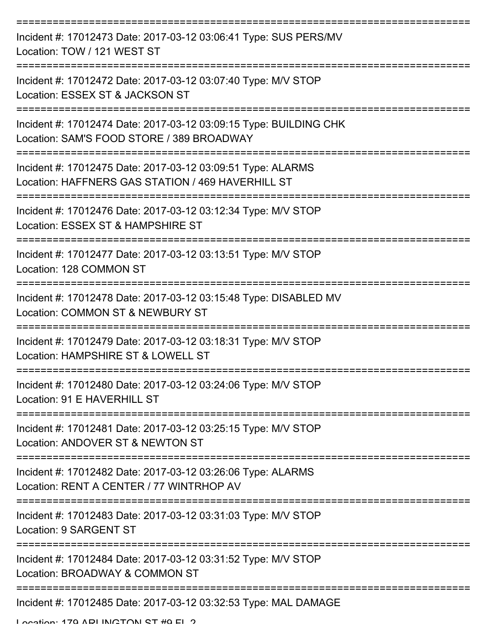| Incident #: 17012473 Date: 2017-03-12 03:06:41 Type: SUS PERS/MV<br>Location: TOW / 121 WEST ST                  |
|------------------------------------------------------------------------------------------------------------------|
| Incident #: 17012472 Date: 2017-03-12 03:07:40 Type: M/V STOP<br>Location: ESSEX ST & JACKSON ST                 |
| Incident #: 17012474 Date: 2017-03-12 03:09:15 Type: BUILDING CHK<br>Location: SAM'S FOOD STORE / 389 BROADWAY   |
| Incident #: 17012475 Date: 2017-03-12 03:09:51 Type: ALARMS<br>Location: HAFFNERS GAS STATION / 469 HAVERHILL ST |
| Incident #: 17012476 Date: 2017-03-12 03:12:34 Type: M/V STOP<br>Location: ESSEX ST & HAMPSHIRE ST               |
| Incident #: 17012477 Date: 2017-03-12 03:13:51 Type: M/V STOP<br>Location: 128 COMMON ST                         |
| Incident #: 17012478 Date: 2017-03-12 03:15:48 Type: DISABLED MV<br>Location: COMMON ST & NEWBURY ST             |
| Incident #: 17012479 Date: 2017-03-12 03:18:31 Type: M/V STOP<br>Location: HAMPSHIRE ST & LOWELL ST              |
| Incident #: 17012480 Date: 2017-03-12 03:24:06 Type: M/V STOP<br>Location: 91 E HAVERHILL ST                     |
| Incident #: 17012481 Date: 2017-03-12 03:25:15 Type: M/V STOP<br>Location: ANDOVER ST & NEWTON ST                |
| Incident #: 17012482 Date: 2017-03-12 03:26:06 Type: ALARMS<br>Location: RENT A CENTER / 77 WINTRHOP AV          |
| Incident #: 17012483 Date: 2017-03-12 03:31:03 Type: M/V STOP<br>Location: 9 SARGENT ST                          |
| Incident #: 17012484 Date: 2017-03-12 03:31:52 Type: M/V STOP<br>Location: BROADWAY & COMMON ST                  |
| Incident #: 17012485 Date: 2017-03-12 03:32:53 Type: MAL DAMAGE<br>Location: 170 ADI INCTONI CT #0 EL 2          |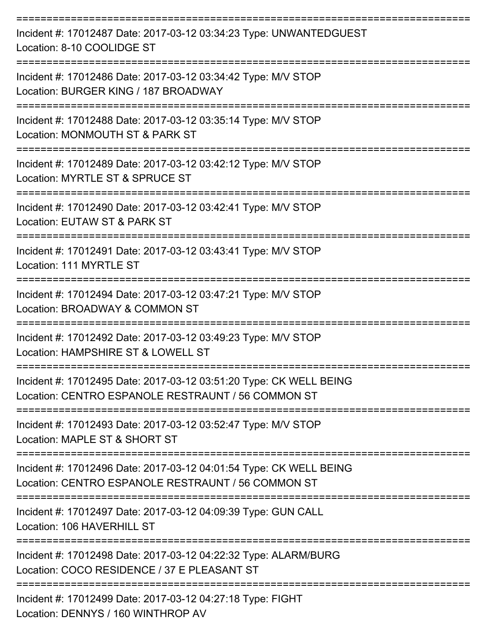| Incident #: 17012487 Date: 2017-03-12 03:34:23 Type: UNWANTEDGUEST<br>Location: 8-10 COOLIDGE ST                         |
|--------------------------------------------------------------------------------------------------------------------------|
| Incident #: 17012486 Date: 2017-03-12 03:34:42 Type: M/V STOP<br>Location: BURGER KING / 187 BROADWAY                    |
| Incident #: 17012488 Date: 2017-03-12 03:35:14 Type: M/V STOP<br>Location: MONMOUTH ST & PARK ST                         |
| Incident #: 17012489 Date: 2017-03-12 03:42:12 Type: M/V STOP<br>Location: MYRTLE ST & SPRUCE ST                         |
| Incident #: 17012490 Date: 2017-03-12 03:42:41 Type: M/V STOP<br>Location: EUTAW ST & PARK ST                            |
| Incident #: 17012491 Date: 2017-03-12 03:43:41 Type: M/V STOP<br>Location: 111 MYRTLE ST                                 |
| Incident #: 17012494 Date: 2017-03-12 03:47:21 Type: M/V STOP<br>Location: BROADWAY & COMMON ST                          |
| Incident #: 17012492 Date: 2017-03-12 03:49:23 Type: M/V STOP<br>Location: HAMPSHIRE ST & LOWELL ST                      |
| Incident #: 17012495 Date: 2017-03-12 03:51:20 Type: CK WELL BEING<br>Location: CENTRO ESPANOLE RESTRAUNT / 56 COMMON ST |
| Incident #: 17012493 Date: 2017-03-12 03:52:47 Type: M/V STOP<br>Location: MAPLE ST & SHORT ST                           |
| Incident #: 17012496 Date: 2017-03-12 04:01:54 Type: CK WELL BEING<br>Location: CENTRO ESPANOLE RESTRAUNT / 56 COMMON ST |
| Incident #: 17012497 Date: 2017-03-12 04:09:39 Type: GUN CALL<br>Location: 106 HAVERHILL ST                              |
| Incident #: 17012498 Date: 2017-03-12 04:22:32 Type: ALARM/BURG<br>Location: COCO RESIDENCE / 37 E PLEASANT ST           |
| Incident #: 17012499 Date: 2017-03-12 04:27:18 Type: FIGHT<br>Location: DENNYS / 160 WINTHROP AV                         |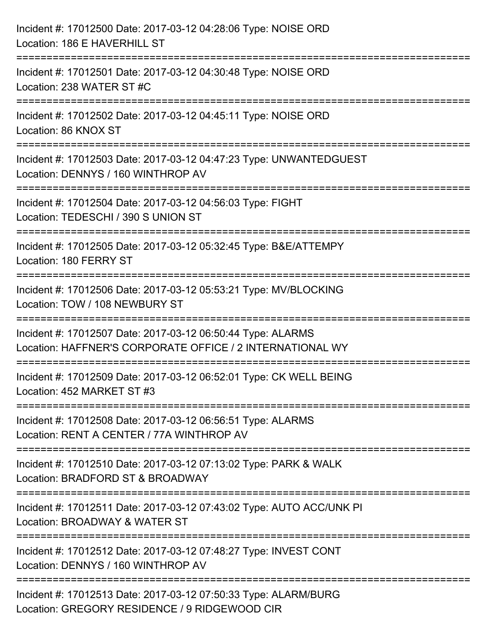| Incident #: 17012500 Date: 2017-03-12 04:28:06 Type: NOISE ORD<br>Location: 186 E HAVERHILL ST                                           |
|------------------------------------------------------------------------------------------------------------------------------------------|
| ======================================<br>Incident #: 17012501 Date: 2017-03-12 04:30:48 Type: NOISE ORD<br>Location: 238 WATER ST #C    |
| Incident #: 17012502 Date: 2017-03-12 04:45:11 Type: NOISE ORD<br>Location: 86 KNOX ST                                                   |
| Incident #: 17012503 Date: 2017-03-12 04:47:23 Type: UNWANTEDGUEST<br>Location: DENNYS / 160 WINTHROP AV<br>:=========================   |
| Incident #: 17012504 Date: 2017-03-12 04:56:03 Type: FIGHT<br>Location: TEDESCHI / 390 S UNION ST                                        |
| Incident #: 17012505 Date: 2017-03-12 05:32:45 Type: B&E/ATTEMPY<br>Location: 180 FERRY ST                                               |
| ----------------------------------<br>Incident #: 17012506 Date: 2017-03-12 05:53:21 Type: MV/BLOCKING<br>Location: TOW / 108 NEWBURY ST |
| Incident #: 17012507 Date: 2017-03-12 06:50:44 Type: ALARMS<br>Location: HAFFNER'S CORPORATE OFFICE / 2 INTERNATIONAL WY                 |
| Incident #: 17012509 Date: 2017-03-12 06:52:01 Type: CK WELL BEING<br>Location: 452 MARKET ST #3                                         |
| Incident #: 17012508 Date: 2017-03-12 06:56:51 Type: ALARMS<br>Location: RENT A CENTER / 77A WINTHROP AV                                 |
| Incident #: 17012510 Date: 2017-03-12 07:13:02 Type: PARK & WALK<br>Location: BRADFORD ST & BROADWAY                                     |
| Incident #: 17012511 Date: 2017-03-12 07:43:02 Type: AUTO ACC/UNK PI<br>Location: BROADWAY & WATER ST                                    |
| Incident #: 17012512 Date: 2017-03-12 07:48:27 Type: INVEST CONT<br>Location: DENNYS / 160 WINTHROP AV                                   |
| Incident #: 17012513 Date: 2017-03-12 07:50:33 Type: ALARM/BURG<br>Location: GREGORY RESIDENCE / 9 RIDGEWOOD CIR                         |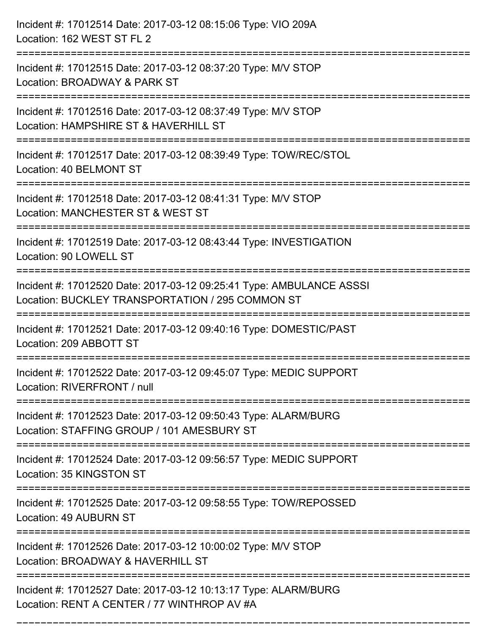| Incident #: 17012514 Date: 2017-03-12 08:15:06 Type: VIO 209A<br>Location: 162 WEST ST FL 2                                                                                      |
|----------------------------------------------------------------------------------------------------------------------------------------------------------------------------------|
| :=====================================<br>Incident #: 17012515 Date: 2017-03-12 08:37:20 Type: M/V STOP<br>Location: BROADWAY & PARK ST                                          |
| Incident #: 17012516 Date: 2017-03-12 08:37:49 Type: M/V STOP<br>Location: HAMPSHIRE ST & HAVERHILL ST<br>;======================                                                |
| Incident #: 17012517 Date: 2017-03-12 08:39:49 Type: TOW/REC/STOL<br>Location: 40 BELMONT ST                                                                                     |
| Incident #: 17012518 Date: 2017-03-12 08:41:31 Type: M/V STOP<br>Location: MANCHESTER ST & WEST ST                                                                               |
| Incident #: 17012519 Date: 2017-03-12 08:43:44 Type: INVESTIGATION<br>Location: 90 LOWELL ST                                                                                     |
| Incident #: 17012520 Date: 2017-03-12 09:25:41 Type: AMBULANCE ASSSI<br>Location: BUCKLEY TRANSPORTATION / 295 COMMON ST<br>==============================<br>------------------ |
| Incident #: 17012521 Date: 2017-03-12 09:40:16 Type: DOMESTIC/PAST<br>Location: 209 ABBOTT ST                                                                                    |
| Incident #: 17012522 Date: 2017-03-12 09:45:07 Type: MEDIC SUPPORT<br>Location: RIVERFRONT / null                                                                                |
| Incident #: 17012523 Date: 2017-03-12 09:50:43 Type: ALARM/BURG<br>Location: STAFFING GROUP / 101 AMESBURY ST                                                                    |
| Incident #: 17012524 Date: 2017-03-12 09:56:57 Type: MEDIC SUPPORT<br>Location: 35 KINGSTON ST                                                                                   |
| Incident #: 17012525 Date: 2017-03-12 09:58:55 Type: TOW/REPOSSED<br>Location: 49 AUBURN ST                                                                                      |
| Incident #: 17012526 Date: 2017-03-12 10:00:02 Type: M/V STOP<br>Location: BROADWAY & HAVERHILL ST                                                                               |
| Incident #: 17012527 Date: 2017-03-12 10:13:17 Type: ALARM/BURG<br>Location: RENT A CENTER / 77 WINTHROP AV #A                                                                   |

===========================================================================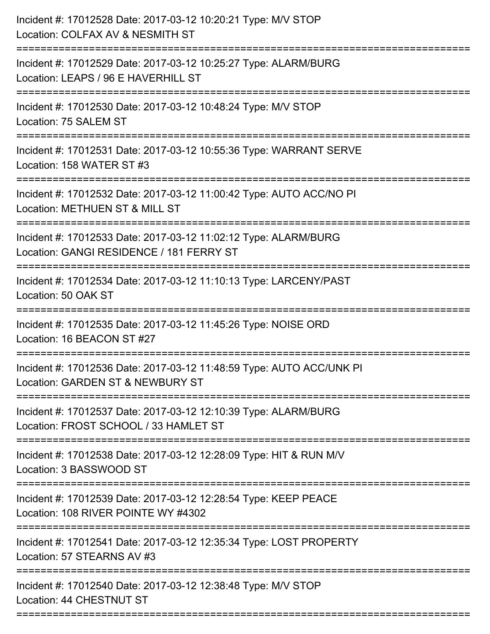| Incident #: 17012528 Date: 2017-03-12 10:20:21 Type: M/V STOP<br>Location: COLFAX AV & NESMITH ST           |
|-------------------------------------------------------------------------------------------------------------|
| Incident #: 17012529 Date: 2017-03-12 10:25:27 Type: ALARM/BURG<br>Location: LEAPS / 96 E HAVERHILL ST      |
| Incident #: 17012530 Date: 2017-03-12 10:48:24 Type: M/V STOP<br>Location: 75 SALEM ST                      |
| Incident #: 17012531 Date: 2017-03-12 10:55:36 Type: WARRANT SERVE<br>Location: 158 WATER ST #3             |
| Incident #: 17012532 Date: 2017-03-12 11:00:42 Type: AUTO ACC/NO PI<br>Location: METHUEN ST & MILL ST       |
| Incident #: 17012533 Date: 2017-03-12 11:02:12 Type: ALARM/BURG<br>Location: GANGI RESIDENCE / 181 FERRY ST |
| Incident #: 17012534 Date: 2017-03-12 11:10:13 Type: LARCENY/PAST<br>Location: 50 OAK ST                    |
| Incident #: 17012535 Date: 2017-03-12 11:45:26 Type: NOISE ORD<br>Location: 16 BEACON ST #27                |
| Incident #: 17012536 Date: 2017-03-12 11:48:59 Type: AUTO ACC/UNK PI<br>Location: GARDEN ST & NEWBURY ST    |
| Incident #: 17012537 Date: 2017-03-12 12:10:39 Type: ALARM/BURG<br>Location: FROST SCHOOL / 33 HAMLET ST    |
| Incident #: 17012538 Date: 2017-03-12 12:28:09 Type: HIT & RUN M/V<br>Location: 3 BASSWOOD ST               |
| Incident #: 17012539 Date: 2017-03-12 12:28:54 Type: KEEP PEACE<br>Location: 108 RIVER POINTE WY #4302      |
| Incident #: 17012541 Date: 2017-03-12 12:35:34 Type: LOST PROPERTY<br>Location: 57 STEARNS AV #3            |
| Incident #: 17012540 Date: 2017-03-12 12:38:48 Type: M/V STOP<br>Location: 44 CHESTNUT ST                   |
|                                                                                                             |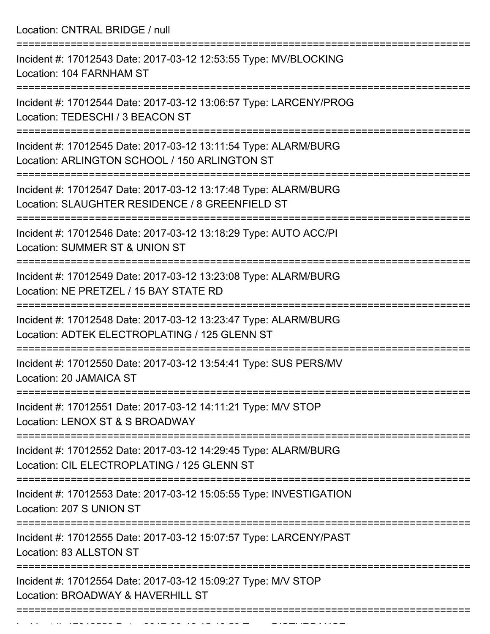Location: CNTRAL BRIDGE / null

=========================================================================== Incident #: 17012543 Date: 2017-03-12 12:53:55 Type: MV/BLOCKING Location: 104 FARNHAM ST =========================================================================== Incident #: 17012544 Date: 2017-03-12 13:06:57 Type: LARCENY/PROG Location: TEDESCHI / 3 BEACON ST =========================================================================== Incident #: 17012545 Date: 2017-03-12 13:11:54 Type: ALARM/BURG Location: ARLINGTON SCHOOL / 150 ARLINGTON ST =========================================================================== Incident #: 17012547 Date: 2017-03-12 13:17:48 Type: ALARM/BURG Location: SLAUGHTER RESIDENCE / 8 GREENFIELD ST =========================================================================== Incident #: 17012546 Date: 2017-03-12 13:18:29 Type: AUTO ACC/PI Location: SUMMER ST & UNION ST =========================================================================== Incident #: 17012549 Date: 2017-03-12 13:23:08 Type: ALARM/BURG Location: NE PRETZEL / 15 BAY STATE RD =========================================================================== Incident #: 17012548 Date: 2017-03-12 13:23:47 Type: ALARM/BURG Location: ADTEK ELECTROPLATING / 125 GLENN ST =========================================================================== Incident #: 17012550 Date: 2017-03-12 13:54:41 Type: SUS PERS/MV Location: 20 JAMAICA ST =========================================================================== Incident #: 17012551 Date: 2017-03-12 14:11:21 Type: M/V STOP Location: LENOX ST & S BROADWAY =========================================================================== Incident #: 17012552 Date: 2017-03-12 14:29:45 Type: ALARM/BURG Location: CIL ELECTROPLATING / 125 GLENN ST =========================================================================== Incident #: 17012553 Date: 2017-03-12 15:05:55 Type: INVESTIGATION Location: 207 S UNION ST =========================================================================== Incident #: 17012555 Date: 2017-03-12 15:07:57 Type: LARCENY/PAST Location: 83 ALLSTON ST =========================================================================== Incident #: 17012554 Date: 2017-03-12 15:09:27 Type: M/V STOP Location: BROADWAY & HAVERHILL ST ===========================================================================

Incident #: 17012556 Date: 2017 03 12 15:16:53 Type: DISTURBANCE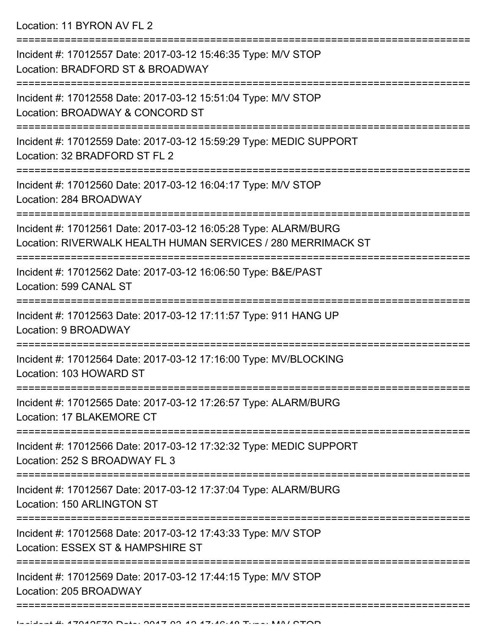Location: 11 BYRON AV FL 2

| Incident #: 17012557 Date: 2017-03-12 15:46:35 Type: M/V STOP<br>Location: BRADFORD ST & BROADWAY                                                          |
|------------------------------------------------------------------------------------------------------------------------------------------------------------|
| ==============================<br>Incident #: 17012558 Date: 2017-03-12 15:51:04 Type: M/V STOP<br>Location: BROADWAY & CONCORD ST<br>-------------------- |
| Incident #: 17012559 Date: 2017-03-12 15:59:29 Type: MEDIC SUPPORT<br>Location: 32 BRADFORD ST FL 2                                                        |
| Incident #: 17012560 Date: 2017-03-12 16:04:17 Type: M/V STOP<br>Location: 284 BROADWAY<br>========================                                        |
| Incident #: 17012561 Date: 2017-03-12 16:05:28 Type: ALARM/BURG<br>Location: RIVERWALK HEALTH HUMAN SERVICES / 280 MERRIMACK ST                            |
| Incident #: 17012562 Date: 2017-03-12 16:06:50 Type: B&E/PAST<br>Location: 599 CANAL ST                                                                    |
| Incident #: 17012563 Date: 2017-03-12 17:11:57 Type: 911 HANG UP<br>Location: 9 BROADWAY                                                                   |
| Incident #: 17012564 Date: 2017-03-12 17:16:00 Type: MV/BLOCKING<br>Location: 103 HOWARD ST                                                                |
| Incident #: 17012565 Date: 2017-03-12 17:26:57 Type: ALARM/BURG<br>Location: 17 BLAKEMORE CT                                                               |
| Incident #: 17012566 Date: 2017-03-12 17:32:32 Type: MEDIC SUPPORT<br>Location: 252 S BROADWAY FL 3                                                        |
| Incident #: 17012567 Date: 2017-03-12 17:37:04 Type: ALARM/BURG<br>Location: 150 ARLINGTON ST                                                              |
| Incident #: 17012568 Date: 2017-03-12 17:43:33 Type: M/V STOP<br>Location: ESSEX ST & HAMPSHIRE ST                                                         |
| Incident #: 17012569 Date: 2017-03-12 17:44:15 Type: M/V STOP<br>Location: 205 BROADWAY                                                                    |
|                                                                                                                                                            |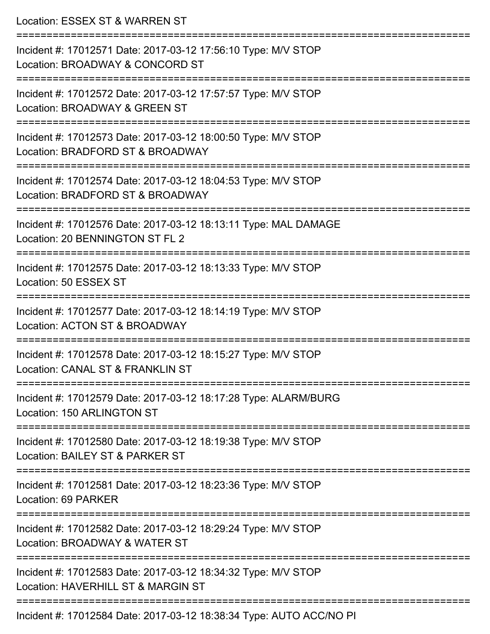| Location: ESSEX ST & WARREN ST                                                                                                       |
|--------------------------------------------------------------------------------------------------------------------------------------|
| Incident #: 17012571 Date: 2017-03-12 17:56:10 Type: M/V STOP<br>Location: BROADWAY & CONCORD ST<br>:============================    |
| Incident #: 17012572 Date: 2017-03-12 17:57:57 Type: M/V STOP<br>Location: BROADWAY & GREEN ST                                       |
| Incident #: 17012573 Date: 2017-03-12 18:00:50 Type: M/V STOP<br>Location: BRADFORD ST & BROADWAY                                    |
| ===============================<br>Incident #: 17012574 Date: 2017-03-12 18:04:53 Type: M/V STOP<br>Location: BRADFORD ST & BROADWAY |
| Incident #: 17012576 Date: 2017-03-12 18:13:11 Type: MAL DAMAGE<br>Location: 20 BENNINGTON ST FL 2                                   |
| =============================<br>Incident #: 17012575 Date: 2017-03-12 18:13:33 Type: M/V STOP<br>Location: 50 ESSEX ST              |
| Incident #: 17012577 Date: 2017-03-12 18:14:19 Type: M/V STOP<br>Location: ACTON ST & BROADWAY                                       |
| Incident #: 17012578 Date: 2017-03-12 18:15:27 Type: M/V STOP<br>Location: CANAL ST & FRANKLIN ST                                    |
| -------------------------------<br>Incident #: 17012579 Date: 2017-03-12 18:17:28 Type: ALARM/BURG<br>Location: 150 ARLINGTON ST     |
| Incident #: 17012580 Date: 2017-03-12 18:19:38 Type: M/V STOP<br>Location: BAILEY ST & PARKER ST                                     |
| Incident #: 17012581 Date: 2017-03-12 18:23:36 Type: M/V STOP<br>Location: 69 PARKER                                                 |
| ================================<br>Incident #: 17012582 Date: 2017-03-12 18:29:24 Type: M/V STOP<br>Location: BROADWAY & WATER ST   |
| Incident #: 17012583 Date: 2017-03-12 18:34:32 Type: M/V STOP<br>Location: HAVERHILL ST & MARGIN ST                                  |
| Incident #: 17012584 Date: 2017-03-12 18:38:34 Type: AUTO ACC/NO PI                                                                  |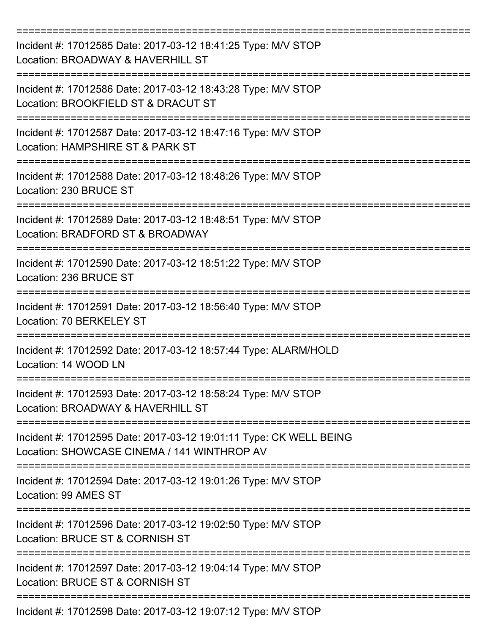| Incident #: 17012585 Date: 2017-03-12 18:41:25 Type: M/V STOP<br>Location: BROADWAY & HAVERHILL ST                                     |
|----------------------------------------------------------------------------------------------------------------------------------------|
| Incident #: 17012586 Date: 2017-03-12 18:43:28 Type: M/V STOP<br>Location: BROOKFIELD ST & DRACUT ST                                   |
| Incident #: 17012587 Date: 2017-03-12 18:47:16 Type: M/V STOP<br>Location: HAMPSHIRE ST & PARK ST                                      |
| Incident #: 17012588 Date: 2017-03-12 18:48:26 Type: M/V STOP<br>Location: 230 BRUCE ST                                                |
| Incident #: 17012589 Date: 2017-03-12 18:48:51 Type: M/V STOP<br>Location: BRADFORD ST & BROADWAY                                      |
| Incident #: 17012590 Date: 2017-03-12 18:51:22 Type: M/V STOP<br>Location: 236 BRUCE ST                                                |
| Incident #: 17012591 Date: 2017-03-12 18:56:40 Type: M/V STOP<br>Location: 70 BERKELEY ST                                              |
| =========<br>Incident #: 17012592 Date: 2017-03-12 18:57:44 Type: ALARM/HOLD<br>Location: 14 WOOD LN                                   |
| Incident #: 17012593 Date: 2017-03-12 18:58:24 Type: M/V STOP<br>Location: BROADWAY & HAVERHILL ST                                     |
| Incident #: 17012595 Date: 2017-03-12 19:01:11 Type: CK WELL BEING<br>Location: SHOWCASE CINEMA / 141 WINTHROP AV                      |
| Incident #: 17012594 Date: 2017-03-12 19:01:26 Type: M/V STOP<br>Location: 99 AMES ST                                                  |
| ==================================<br>Incident #: 17012596 Date: 2017-03-12 19:02:50 Type: M/V STOP<br>Location: BRUCE ST & CORNISH ST |
| Incident #: 17012597 Date: 2017-03-12 19:04:14 Type: M/V STOP<br>Location: BRUCE ST & CORNISH ST                                       |
| Incident #: 17012598 Date: 2017-03-12 19:07:12 Type: M/V STOP                                                                          |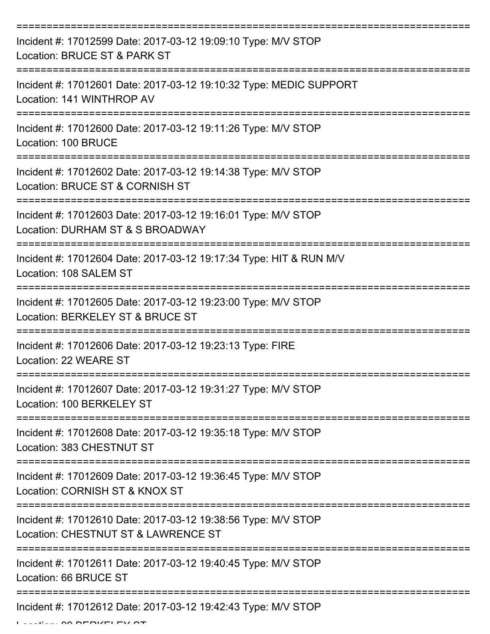| Incident #: 17012599 Date: 2017-03-12 19:09:10 Type: M/V STOP<br>Location: BRUCE ST & PARK ST        |
|------------------------------------------------------------------------------------------------------|
| Incident #: 17012601 Date: 2017-03-12 19:10:32 Type: MEDIC SUPPORT<br>Location: 141 WINTHROP AV      |
| Incident #: 17012600 Date: 2017-03-12 19:11:26 Type: M/V STOP<br>Location: 100 BRUCE                 |
| Incident #: 17012602 Date: 2017-03-12 19:14:38 Type: M/V STOP<br>Location: BRUCE ST & CORNISH ST     |
| Incident #: 17012603 Date: 2017-03-12 19:16:01 Type: M/V STOP<br>Location: DURHAM ST & S BROADWAY    |
| Incident #: 17012604 Date: 2017-03-12 19:17:34 Type: HIT & RUN M/V<br>Location: 108 SALEM ST         |
| Incident #: 17012605 Date: 2017-03-12 19:23:00 Type: M/V STOP<br>Location: BERKELEY ST & BRUCE ST    |
| Incident #: 17012606 Date: 2017-03-12 19:23:13 Type: FIRE<br>Location: 22 WEARE ST                   |
| Incident #: 17012607 Date: 2017-03-12 19:31:27 Type: M/V STOP<br>Location: 100 BERKELEY ST           |
| Incident #: 17012608 Date: 2017-03-12 19:35:18 Type: M/V STOP<br>Location: 383 CHESTNUT ST           |
| Incident #: 17012609 Date: 2017-03-12 19:36:45 Type: M/V STOP<br>Location: CORNISH ST & KNOX ST      |
| Incident #: 17012610 Date: 2017-03-12 19:38:56 Type: M/V STOP<br>Location: CHESTNUT ST & LAWRENCE ST |
| Incident #: 17012611 Date: 2017-03-12 19:40:45 Type: M/V STOP<br>Location: 66 BRUCE ST               |
| Incident #: 17012612 Date: 2017-03-12 19:42:43 Type: M/V STOP                                        |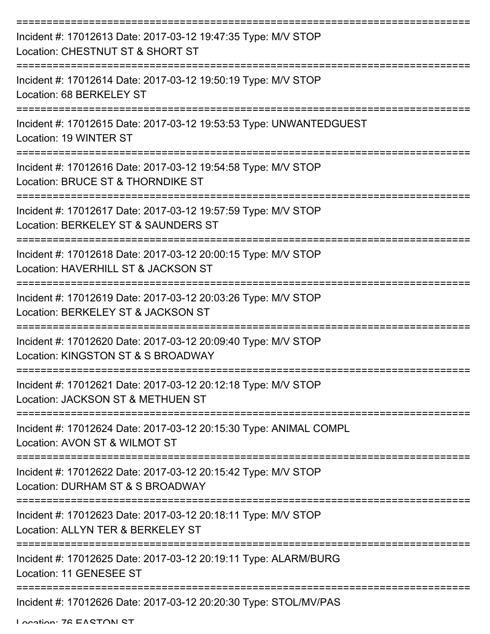| Incident #: 17012613 Date: 2017-03-12 19:47:35 Type: M/V STOP<br>Location: CHESTNUT ST & SHORT ST    |
|------------------------------------------------------------------------------------------------------|
| Incident #: 17012614 Date: 2017-03-12 19:50:19 Type: M/V STOP<br>Location: 68 BERKELEY ST            |
| Incident #: 17012615 Date: 2017-03-12 19:53:53 Type: UNWANTEDGUEST<br>Location: 19 WINTER ST         |
| Incident #: 17012616 Date: 2017-03-12 19:54:58 Type: M/V STOP<br>Location: BRUCE ST & THORNDIKE ST   |
| Incident #: 17012617 Date: 2017-03-12 19:57:59 Type: M/V STOP<br>Location: BERKELEY ST & SAUNDERS ST |
| Incident #: 17012618 Date: 2017-03-12 20:00:15 Type: M/V STOP<br>Location: HAVERHILL ST & JACKSON ST |
| Incident #: 17012619 Date: 2017-03-12 20:03:26 Type: M/V STOP<br>Location: BERKELEY ST & JACKSON ST  |
| Incident #: 17012620 Date: 2017-03-12 20:09:40 Type: M/V STOP<br>Location: KINGSTON ST & S BROADWAY  |
| Incident #: 17012621 Date: 2017-03-12 20:12:18 Type: M/V STOP<br>Location: JACKSON ST & METHUEN ST   |
| Incident #: 17012624 Date: 2017-03-12 20:15:30 Type: ANIMAL COMPL<br>Location: AVON ST & WILMOT ST   |
| Incident #: 17012622 Date: 2017-03-12 20:15:42 Type: M/V STOP<br>Location: DURHAM ST & S BROADWAY    |
| Incident #: 17012623 Date: 2017-03-12 20:18:11 Type: M/V STOP<br>Location: ALLYN TER & BERKELEY ST   |
| Incident #: 17012625 Date: 2017-03-12 20:19:11 Type: ALARM/BURG<br>Location: 11 GENESEE ST           |
| Incident #: 17012626 Date: 2017-03-12 20:20:30 Type: STOL/MV/PAS                                     |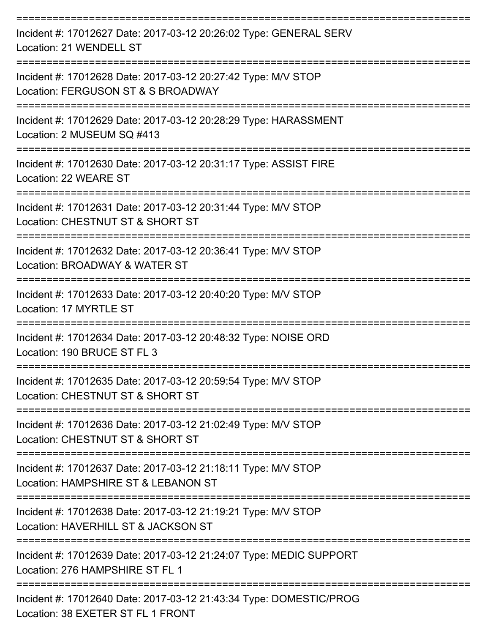| Incident #: 17012627 Date: 2017-03-12 20:26:02 Type: GENERAL SERV<br>Location: 21 WENDELL ST            |
|---------------------------------------------------------------------------------------------------------|
| Incident #: 17012628 Date: 2017-03-12 20:27:42 Type: M/V STOP<br>Location: FERGUSON ST & S BROADWAY     |
| Incident #: 17012629 Date: 2017-03-12 20:28:29 Type: HARASSMENT<br>Location: 2 MUSEUM SQ #413           |
| Incident #: 17012630 Date: 2017-03-12 20:31:17 Type: ASSIST FIRE<br>Location: 22 WEARE ST               |
| Incident #: 17012631 Date: 2017-03-12 20:31:44 Type: M/V STOP<br>Location: CHESTNUT ST & SHORT ST       |
| Incident #: 17012632 Date: 2017-03-12 20:36:41 Type: M/V STOP<br>Location: BROADWAY & WATER ST          |
| Incident #: 17012633 Date: 2017-03-12 20:40:20 Type: M/V STOP<br>Location: 17 MYRTLE ST                 |
| Incident #: 17012634 Date: 2017-03-12 20:48:32 Type: NOISE ORD<br>Location: 190 BRUCE ST FL 3           |
| Incident #: 17012635 Date: 2017-03-12 20:59:54 Type: M/V STOP<br>Location: CHESTNUT ST & SHORT ST       |
| Incident #: 17012636 Date: 2017-03-12 21:02:49 Type: M/V STOP<br>Location: CHESTNUT ST & SHORT ST       |
| Incident #: 17012637 Date: 2017-03-12 21:18:11 Type: M/V STOP<br>Location: HAMPSHIRE ST & LEBANON ST    |
| Incident #: 17012638 Date: 2017-03-12 21:19:21 Type: M/V STOP<br>Location: HAVERHILL ST & JACKSON ST    |
| Incident #: 17012639 Date: 2017-03-12 21:24:07 Type: MEDIC SUPPORT<br>Location: 276 HAMPSHIRE ST FL 1   |
| Incident #: 17012640 Date: 2017-03-12 21:43:34 Type: DOMESTIC/PROG<br>Location: 38 EXETER ST FL 1 FRONT |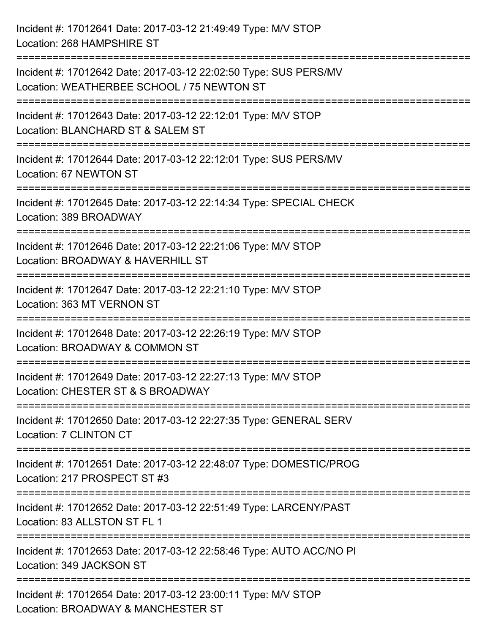| Incident #: 17012641 Date: 2017-03-12 21:49:49 Type: M/V STOP<br>Location: 268 HAMPSHIRE ST                                                                           |
|-----------------------------------------------------------------------------------------------------------------------------------------------------------------------|
| :==================================<br>Incident #: 17012642 Date: 2017-03-12 22:02:50 Type: SUS PERS/MV<br>Location: WEATHERBEE SCHOOL / 75 NEWTON ST                 |
| Incident #: 17012643 Date: 2017-03-12 22:12:01 Type: M/V STOP<br>Location: BLANCHARD ST & SALEM ST<br>=======================                                         |
| Incident #: 17012644 Date: 2017-03-12 22:12:01 Type: SUS PERS/MV<br>Location: 67 NEWTON ST                                                                            |
| Incident #: 17012645 Date: 2017-03-12 22:14:34 Type: SPECIAL CHECK<br>Location: 389 BROADWAY<br>=================================<br>================================ |
| Incident #: 17012646 Date: 2017-03-12 22:21:06 Type: M/V STOP<br>Location: BROADWAY & HAVERHILL ST                                                                    |
| Incident #: 17012647 Date: 2017-03-12 22:21:10 Type: M/V STOP<br>Location: 363 MT VERNON ST<br>===================================<br>================                |
| Incident #: 17012648 Date: 2017-03-12 22:26:19 Type: M/V STOP<br>Location: BROADWAY & COMMON ST                                                                       |
| Incident #: 17012649 Date: 2017-03-12 22:27:13 Type: M/V STOP<br>Location: CHESTER ST & S BROADWAY                                                                    |
| Incident #: 17012650 Date: 2017-03-12 22:27:35 Type: GENERAL SERV<br>Location: 7 CLINTON CT                                                                           |
| Incident #: 17012651 Date: 2017-03-12 22:48:07 Type: DOMESTIC/PROG<br>Location: 217 PROSPECT ST #3                                                                    |
| Incident #: 17012652 Date: 2017-03-12 22:51:49 Type: LARCENY/PAST<br>Location: 83 ALLSTON ST FL 1                                                                     |
| Incident #: 17012653 Date: 2017-03-12 22:58:46 Type: AUTO ACC/NO PI<br>Location: 349 JACKSON ST<br>============================                                       |
| Incident #: 17012654 Date: 2017-03-12 23:00:11 Type: M/V STOP<br>Location: BROADWAY & MANCHESTER ST                                                                   |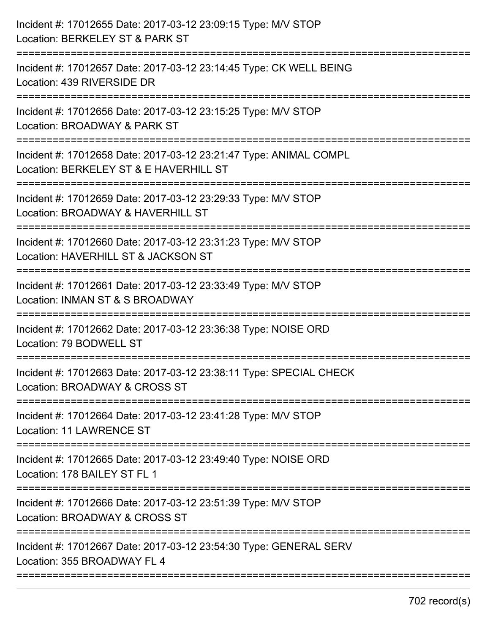| Incident #: 17012655 Date: 2017-03-12 23:09:15 Type: M/V STOP<br>Location: BERKELEY ST & PARK ST                             |
|------------------------------------------------------------------------------------------------------------------------------|
| Incident #: 17012657 Date: 2017-03-12 23:14:45 Type: CK WELL BEING<br>Location: 439 RIVERSIDE DR                             |
| Incident #: 17012656 Date: 2017-03-12 23:15:25 Type: M/V STOP<br>Location: BROADWAY & PARK ST                                |
| Incident #: 17012658 Date: 2017-03-12 23:21:47 Type: ANIMAL COMPL<br>Location: BERKELEY ST & E HAVERHILL ST                  |
| Incident #: 17012659 Date: 2017-03-12 23:29:33 Type: M/V STOP<br>Location: BROADWAY & HAVERHILL ST<br>====================== |
| Incident #: 17012660 Date: 2017-03-12 23:31:23 Type: M/V STOP<br>Location: HAVERHILL ST & JACKSON ST                         |
| Incident #: 17012661 Date: 2017-03-12 23:33:49 Type: M/V STOP<br>Location: INMAN ST & S BROADWAY                             |
| Incident #: 17012662 Date: 2017-03-12 23:36:38 Type: NOISE ORD<br>Location: 79 BODWELL ST                                    |
| Incident #: 17012663 Date: 2017-03-12 23:38:11 Type: SPECIAL CHECK<br>Location: BROADWAY & CROSS ST                          |
| Incident #: 17012664 Date: 2017-03-12 23:41:28 Type: M/V STOP<br><b>Location: 11 LAWRENCE ST</b>                             |
| Incident #: 17012665 Date: 2017-03-12 23:49:40 Type: NOISE ORD<br>Location: 178 BAILEY ST FL 1                               |
| Incident #: 17012666 Date: 2017-03-12 23:51:39 Type: M/V STOP<br>Location: BROADWAY & CROSS ST                               |
| Incident #: 17012667 Date: 2017-03-12 23:54:30 Type: GENERAL SERV<br>Location: 355 BROADWAY FL 4                             |
|                                                                                                                              |